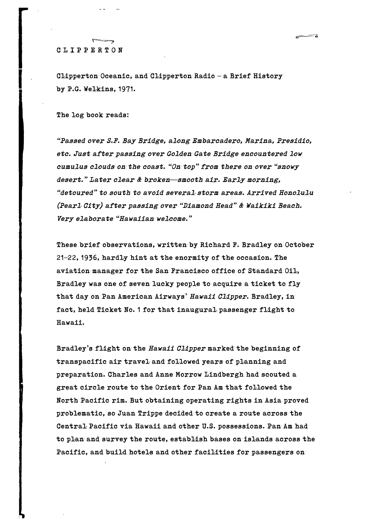## C L I P P E R T O N

Clipperton Oceanic, and Clipperton Radio **–** a Brief History by P.G. Welkins, 1971.

 $=$   $\overline{a}$  $\sim$ 

The log book reads:

*"*Passed over S.F. Bay Bridge, along Embarcadero, Marina, Presidio, etc. Just after passing over Golden Gate Bridge encountered low cumulus clouds on the coast. *"*On top*"* from there on over *"*snowy desert.*"* Later clear & broken*—*smooth air. Early morning, *"*detoured*"* to south to avoid several storm areas. Arrived Honolulu (Pearl City) after passing over *"*Diamond Head*"* & Waikiki Beach. Very elaborate *"*Hawaiian welcome.*"*

These brief observations, written by Richard F. Bradley on October 21**–**22, 1936, hardly hint at the enormity of the occasion. The aviation manager for the San Francisco office of Standard Oil, Bradley was one of seven lucky people to acquire a ticket to fly that day on Pan American Airways**'** Hawaii Clipper. Bradley, in fact, held Ticket No. 1 for that inaugural passenger flight to Hawaii.

Bradley**'**s flight on the Hawaii Clipper marked the beginning of transpacific air travel and followed years of planning and preparation. Charles and Anne Morrow Lindbergh had scouted a great circle route to the Orient for Pan Am that followed the North Pacific rim. But obtaining operating rights in Asia proved problematic, so Juan Trippe decided to create a route across the Central Pacific via Hawaii and other U.S. possessions. Pan Am had to plan and survey the route, establish bases on islands across the Pacific, and build hotels and other facilities for passengers on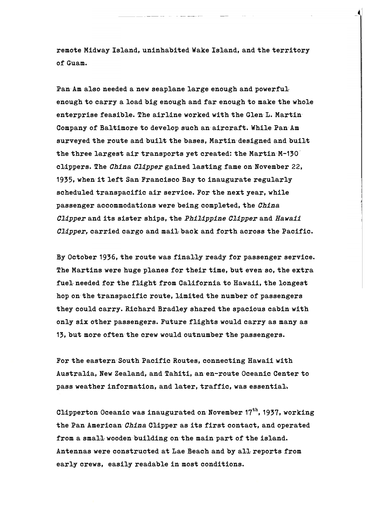remote Midway Island, uninhabited Wake Island, and the territory of Guam.

Pan Am also needed a new seaplane large enough and powerful enough to carry a load big enough and far enough to make the whole enterprise feasible. The airline worked with the Glen L. Martin Company of Baltimore to develop such an aircraft. While Pan Am surveyed the route and built the bases, Martin designed and built the three largest air transports yet created: the Martin M-130 clippers. The China Clipper gained lasting fame on November 22, 1935, when it left San Francisco Bay to inaugurate regularly scheduled transpacific air service. For the next year, while passenger accommodations were being completed, the China Clipper and its sister ships, the Philippine Clipper and Hawaii Clipper, carried cargo and mail back and forth across the Pacific.

By October 1936, the route was finally ready for passenger service. The Martins were huge planes for their time, but even so, the extra fuel needed for the flight from California to Hawaii, the longest hop on the transpacific route, limited the number of passengers they could carry. Richard Bradley shared the spacious cabin with only six other passengers. Future flights would carry as many as 13, but more often the crew would outnumber the passengers.

For the eastern South Pacific Routes, connecting Hawaii with Australia, New Zealand, and Tahiti, an en-route Oceanic Center to pass weather information, and later, traffic, was essential.

Clipperton Oceanic was inaugurated on November 17<sup>th</sup>, 1937, working the Pan American China Clipper as its first contact, and operated from a small wooden building on the main part of the island. Antennas were constructed at Lae Beach and by all reports from early crews, easily readable in most conditions.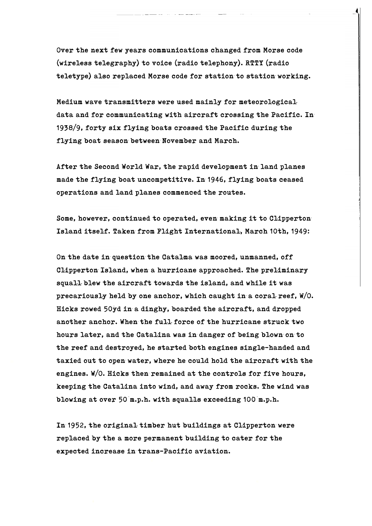Over the next few years communications changed from Morse code (wireless telegraphy) to voice (radio telephony). RTTY (radio teletype) also replaced Morse code for station to station working.

Medium wave transmitters were used mainly for meteorological data and for communicating with aircraft crossing the Pacific. In 1938/9, forty six flying boats crossed the Pacific during the flying boat season between November and March.

After the Second World War, the rapid development in land planes made the flying boat uncompetitive. In 1946, flying boats ceased operations and land planes commenced the routes.

Some, however, continued to operated, even making it to Clipperton Island itself. Taken from Flight International, March 10th, 1949:

On the date in question the Catalma was moored, unmanned, off Clipperton Island, when a hurricane approached. The preliminary squall blew the aircraft towards the island, and while it was precariously held by one anchor, which caught in a coral reef, W/O. Hicks rowed 50yd in a dinghy, boarded the aircraft, and dropped another anchor. When the full force of the hurricane struck two hours later, and the Catalina was in danger of being blown on to the reef and destroyed, he started both engines single-handed and taxied out to open water, where he could hold the aircraft with the engines. W/O. Hicks then remained at the controls for five hours, keeping the Catalina into wind, and away from rocks. The wind was blowing at over 50 m.p.h. with squalls exceeding 100 m.p.h.

In 1952, the original timber hut buildings at Clipperton were replaced by the a more permanent building to cater for the expected increase in trans-Pacific aviation.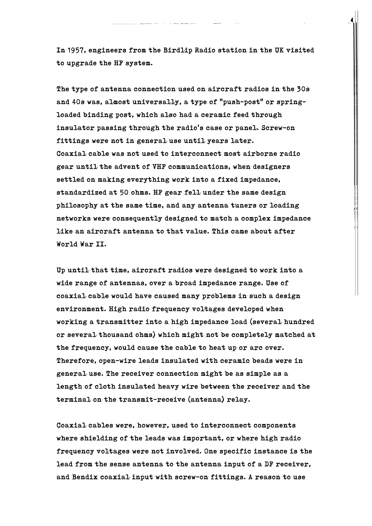In 1957, engineers from the Birdlip Radio station in the UK visited to upgrade the HF system.

The type of antenna connection used on aircraft radios in the 30s and 40s was, almost universally, a type of "push-post" or springloaded binding post, which also had a ceramic feed through insulator passing through the radio's case or panel. Screw-on fittings were not in general use until years later. Coaxial cable was not used to interconnect most airborne radio gear until the advent of VHF communications, when designers settled on making everything work into a fixed impedance, standardized at 50 ohms. HF gear fell under the same design philosophy at the same time, and any antenna tuners or loading networks were consequently designed to match a complex impedance like an aircraft antenna to that value. This came about after World War II.

Up until that time, aircraft radios were designed to work into a wide range of antennas, over a broad impedance range. Use of coaxial cable would have caused many problems in such a design environment. High radio frequency voltages developed when working a transmitter into a high impedance load (several hundred or several thousand ohms) which might not be completely matched at the frequency, would cause the cable to heat up or arc over. Therefore, open-wire leads insulated with ceramic beads were in general use. The receiver connection might be as simple as a length of cloth insulated heavy wire between the receiver and the terminal on the transmit-receive (antenna) relay.

Coaxial cables were, however, used to interconnect components where shielding of the leads was important, or where high radio frequency voltages were not involved. One specific instance is the lead from the sense antenna to the antenna input of a DF receiver, and Bendix coaxial input with screw-on fittings. A reason to use